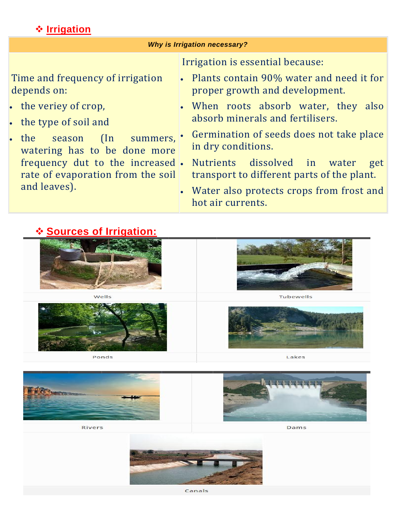### **Irrigation**

### **Sources of Irrigation:**





Rivers

Dams

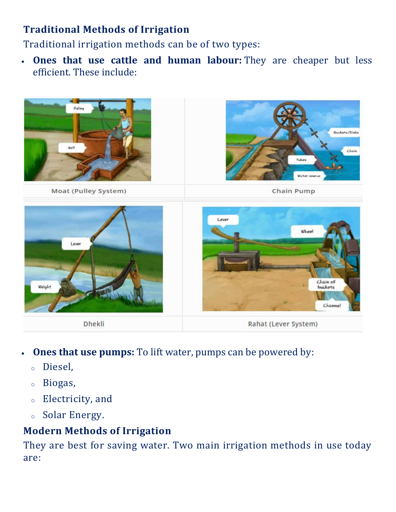# **Traditional Methods of Irrigation**

Traditional irrigation methods can be of two types:

 **Ones that use cattle and human labour:** They are cheaper but less efficient. These include:



- **Ones that use pumps:** To lift water, pumps can be powered by:
	- <sup>o</sup> Diesel,
	- <sup>o</sup> Biogas,
	- <sup>o</sup> Electricity, and
	- <sup>o</sup> Solar Energy.

# **Modern Methods of Irrigation**

They are best for saving water. Two main irrigation methods in use today are: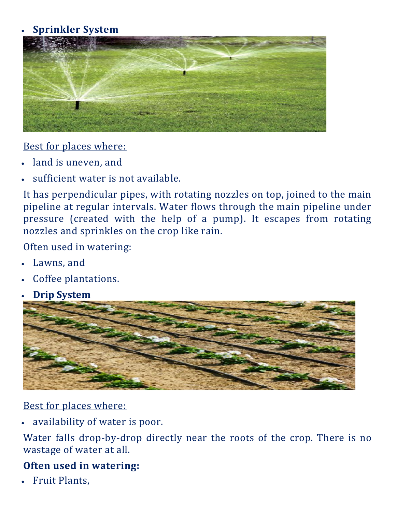## **Sprinkler System**



#### Best for places where:

- land is uneven, and
- sufficient water is not available.

It has perpendicular pipes, with rotating nozzles on top, joined to the main pipeline at regular intervals. Water flows through the main pipeline under pressure (created with the help of a pump). It escapes from rotating nozzles and sprinkles on the crop like rain.

Often used in watering:

- Lawns, and
- Coffee plantations.
- **Drip System**



### Best for places where:

availability of water is poor.

Water falls drop-by-drop directly near the roots of the crop. There is no wastage of water at all.

## **Often used in watering:**

Fruit Plants,